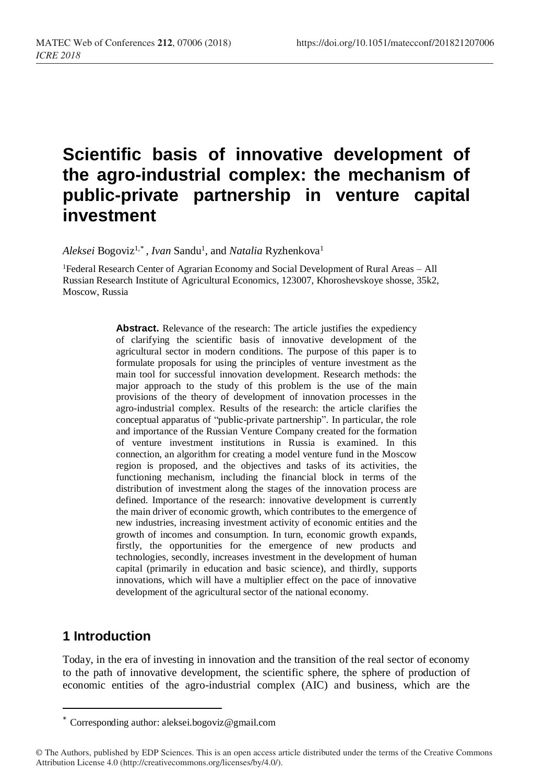# **Scientific basis of innovative development of the agro-industrial complex: the mechanism of public-private partnership in venture capital investment**

Aleksei Bogoviz<sup>1,\*</sup>, *Ivan* Sandu<sup>1</sup>, and *Natalia* Ryzhenkova<sup>1</sup>

<sup>1</sup>Federal Research Center of Agrarian Economy and Social Development of Rural Areas – All Russian Research Institute of Agricultural Economics, 123007, Khoroshevskoye shosse, 35k2, Moscow, Russia

> **Abstract.** Relevance of the research: The article justifies the expediency of clarifying the scientific basis of innovative development of the agricultural sector in modern conditions. The purpose of this paper is to formulate proposals for using the principles of venture investment as the main tool for successful innovation development. Research methods: the major approach to the study of this problem is the use of the main provisions of the theory of development of innovation processes in the agro-industrial complex. Results of the research: the article clarifies the conceptual apparatus of "public-private partnership". In particular, the role and importance of the Russian Venture Company created for the formation of venture investment institutions in Russia is examined. In this connection, an algorithm for creating a model venture fund in the Moscow region is proposed, and the objectives and tasks of its activities, the functioning mechanism, including the financial block in terms of the distribution of investment along the stages of the innovation process are defined. Importance of the research: innovative development is currently the main driver of economic growth, which contributes to the emergence of new industries, increasing investment activity of economic entities and the growth of incomes and consumption. In turn, economic growth expands, firstly, the opportunities for the emergence of new products and technologies, secondly, increases investment in the development of human capital (primarily in education and basic science), and thirdly, supports innovations, which will have a multiplier effect on the pace of innovative development of the agricultural sector of the national economy.

# **1 Introduction**

 $\overline{a}$ 

Today, in the era of investing in innovation and the transition of the real sector of economy to the path of innovative development, the scientific sphere, the sphere of production of economic entities of the agro-industrial complex (AIC) and business, which are the

<sup>\*</sup> Corresponding author: aleksei.bogoviz@gmail.com

<sup>©</sup> The Authors, published by EDP Sciences. This is an open access article distributed under the terms of the Creative Commons Attribution License 4.0 (http://creativecommons.org/licenses/by/4.0/).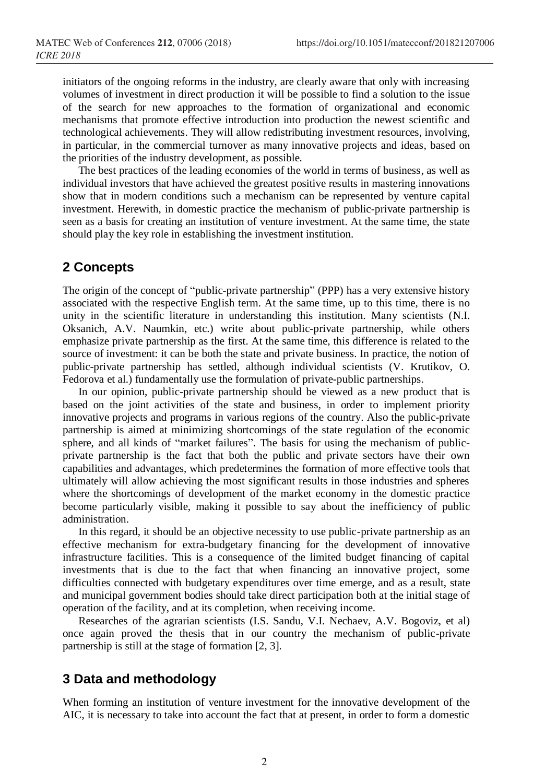initiators of the ongoing reforms in the industry, are clearly aware that only with increasing volumes of investment in direct production it will be possible to find a solution to the issue of the search for new approaches to the formation of organizational and economic mechanisms that promote effective introduction into production the newest scientific and technological achievements. They will allow redistributing investment resources, involving, in particular, in the commercial turnover as many innovative projects and ideas, based on the priorities of the industry development, as possible.

The best practices of the leading economies of the world in terms of business, as well as individual investors that have achieved the greatest positive results in mastering innovations show that in modern conditions such a mechanism can be represented by venture capital investment. Herewith, in domestic practice the mechanism of public-private partnership is seen as a basis for creating an institution of venture investment. At the same time, the state should play the key role in establishing the investment institution.

# **2 Concepts**

The origin of the concept of "public-private partnership" (PPP) has a very extensive history associated with the respective English term. At the same time, up to this time, there is no unity in the scientific literature in understanding this institution. Many scientists (N.I. Oksanich, A.V. Naumkin, etc.) write about public-private partnership, while others emphasize private partnership as the first. At the same time, this difference is related to the source of investment: it can be both the state and private business. In practice, the notion of public-private partnership has settled, although individual scientists (V. Krutikov, O. Fedorova et al.) fundamentally use the formulation of private-public partnerships.

In our opinion, public-private partnership should be viewed as a new product that is based on the joint activities of the state and business, in order to implement priority innovative projects and programs in various regions of the country. Also the public-private partnership is aimed at minimizing shortcomings of the state regulation of the economic sphere, and all kinds of "market failures". The basis for using the mechanism of publicprivate partnership is the fact that both the public and private sectors have their own capabilities and advantages, which predetermines the formation of more effective tools that ultimately will allow achieving the most significant results in those industries and spheres where the shortcomings of development of the market economy in the domestic practice become particularly visible, making it possible to say about the inefficiency of public administration.

In this regard, it should be an objective necessity to use public-private partnership as an effective mechanism for extra-budgetary financing for the development of innovative infrastructure facilities. This is a consequence of the limited budget financing of capital investments that is due to the fact that when financing an innovative project, some difficulties connected with budgetary expenditures over time emerge, and as a result, state and municipal government bodies should take direct participation both at the initial stage of operation of the facility, and at its completion, when receiving income.

Researches of the agrarian scientists (I.S. Sandu, V.I. Nechaev, A.V. Bogoviz, et al) once again proved the thesis that in our country the mechanism of public-private partnership is still at the stage of formation [2, 3].

#### **3 Data and methodology**

When forming an institution of venture investment for the innovative development of the AIC, it is necessary to take into account the fact that at present, in order to form a domestic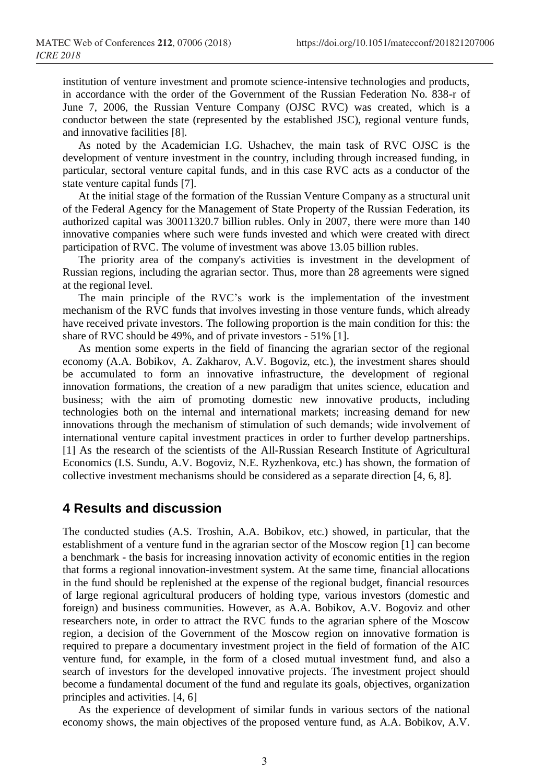institution of venture investment and promote science-intensive technologies and products, in accordance with the order of the Government of the Russian Federation No. 838-r of June 7, 2006, the Russian Venture Company (OJSC RVC) was created, which is a conductor between the state (represented by the established JSC), regional venture funds, and innovative facilities [8].

As noted by the Academician I.G. Ushachev, the main task of RVC OJSC is the development of venture investment in the country, including through increased funding, in particular, sectoral venture capital funds, and in this case RVC acts as a conductor of the state venture capital funds [7].

At the initial stage of the formation of the Russian Venture Company as a structural unit of the Federal Agency for the Management of State Property of the Russian Federation, its authorized capital was 30011320.7 billion rubles. Only in 2007, there were more than 140 innovative companies where such were funds invested and which were created with direct participation of RVC. The volume of investment was above 13.05 billion rubles.

The priority area of the company's activities is investment in the development of Russian regions, including the agrarian sector. Thus, more than 28 agreements were signed at the regional level.

The main principle of the RVC's work is the implementation of the investment mechanism of the RVC funds that involves investing in those venture funds, which already have received private investors. The following proportion is the main condition for this: the share of RVC should be 49%, and of private investors - 51% [1].

As mention some experts in the field of financing the agrarian sector of the regional economy (A.A. Bobikov, A. Zakharov, A.V. Bogoviz, etc.), the investment shares should be accumulated to form an innovative infrastructure, the development of regional innovation formations, the creation of a new paradigm that unites science, education and business; with the aim of promoting domestic new innovative products, including technologies both on the internal and international markets; increasing demand for new innovations through the mechanism of stimulation of such demands; wide involvement of international venture capital investment practices in order to further develop partnerships. [1] As the research of the scientists of the All-Russian Research Institute of Agricultural Economics (I.S. Sundu, A.V. Bogoviz, N.E. Ryzhenkova, etc.) has shown, the formation of collective investment mechanisms should be considered as a separate direction [4, 6, 8].

# **4 Results and discussion**

The conducted studies (A.S. Troshin, A.A. Bobikov, etc.) showed, in particular, that the establishment of a venture fund in the agrarian sector of the Moscow region [1] can become a benchmark - the basis for increasing innovation activity of economic entities in the region that forms a regional innovation-investment system. At the same time, financial allocations in the fund should be replenished at the expense of the regional budget, financial resources of large regional agricultural producers of holding type, various investors (domestic and foreign) and business communities. However, as A.A. Bobikov, A.V. Bogoviz and other researchers note, in order to attract the RVC funds to the agrarian sphere of the Moscow region, a decision of the Government of the Moscow region on innovative formation is required to prepare a documentary investment project in the field of formation of the AIC venture fund, for example, in the form of a closed mutual investment fund, and also a search of investors for the developed innovative projects. The investment project should become a fundamental document of the fund and regulate its goals, objectives, organization principles and activities. [4, 6]

As the experience of development of similar funds in various sectors of the national economy shows, the main objectives of the proposed venture fund, as A.A. Bobikov, A.V.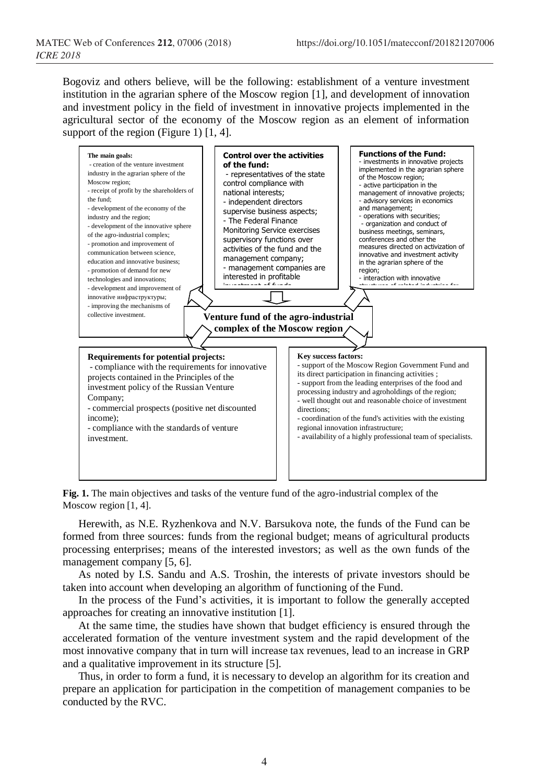Bogoviz and others believe, will be the following: establishment of a venture investment institution in the agrarian sphere of the Moscow region [1], and development of innovation and investment policy in the field of investment in innovative projects implemented in the agricultural sector of the economy of the Moscow region as an element of information support of the region (Figure 1) [1, 4].



**Fig. 1.** The main objectives and tasks of the venture fund of the agro-industrial complex of the Moscow region [1, 4].

Herewith, as N.E. Ryzhenkova and N.V. Barsukova note, the funds of the Fund can be formed from three sources: funds from the regional budget; means of agricultural products processing enterprises; means of the interested investors; as well as the own funds of the management company [5, 6].

As noted by I.S. Sandu and A.S. Troshin, the interests of private investors should be taken into account when developing an algorithm of functioning of the Fund.

In the process of the Fund's activities, it is important to follow the generally accepted approaches for creating an innovative institution [1].

At the same time, the studies have shown that budget efficiency is ensured through the accelerated formation of the venture investment system and the rapid development of the most innovative company that in turn will increase tax revenues, lead to an increase in GRP and a qualitative improvement in its structure [5].

Thus, in order to form a fund, it is necessary to develop an algorithm for its creation and prepare an application for participation in the competition of management companies to be conducted by the RVC.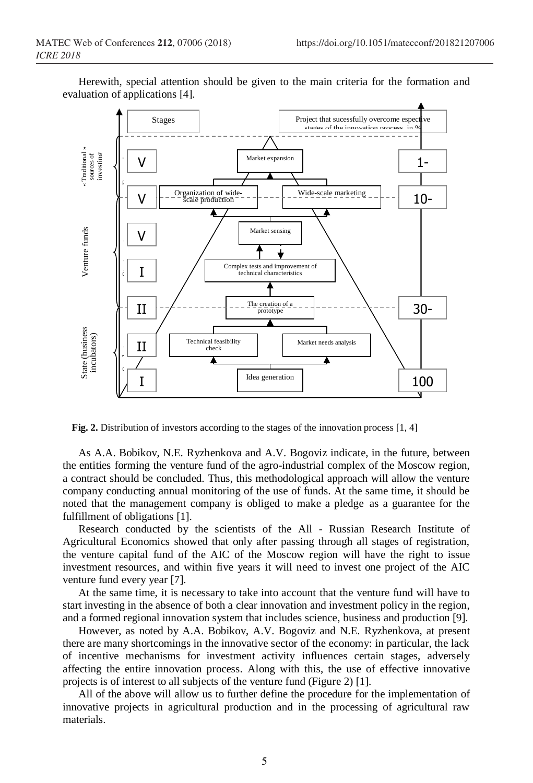Herewith, special attention should be given to the main criteria for the formation and evaluation of applications [4].



**Fig.** 2. Distribution of investors according to the stages of the innovation process [1, 4]

As A.A. Bobikov, N.E. Ryzhenkova and A.V. Bogoviz indicate, in the future, between the entities forming the venture fund of the agro-industrial complex of the Moscow region, a contract should be concluded. Thus, this methodological approach will allow the venture company conducting annual monitoring of the use of funds. At the same time, it should be noted that the management company is obliged to make a pledge as a guarantee for the fulfillment of obligations [1].

Research conducted by the scientists of the All - Russian Research Institute of Agricultural Economics showed that only after passing through all stages of registration, the venture capital fund of the AIC of the Moscow region will have the right to issue investment resources, and within five years it will need to invest one project of the AIC venture fund every year [7].

At the same time, it is necessary to take into account that the venture fund will have to start investing in the absence of both a clear innovation and investment policy in the region, and a formed regional innovation system that includes science, business and production [9].

However, as noted by A.A. Bobikov, A.V. Bogoviz and N.E. Ryzhenkova, at present there are many shortcomings in the innovative sector of the economy: in particular, the lack of incentive mechanisms for investment activity influences certain stages, adversely affecting the entire innovation process. Along with this, the use of effective innovative projects is of interest to all subjects of the venture fund (Figure 2) [1].

All of the above will allow us to further define the procedure for the implementation of innovative projects in agricultural production and in the processing of agricultural raw materials.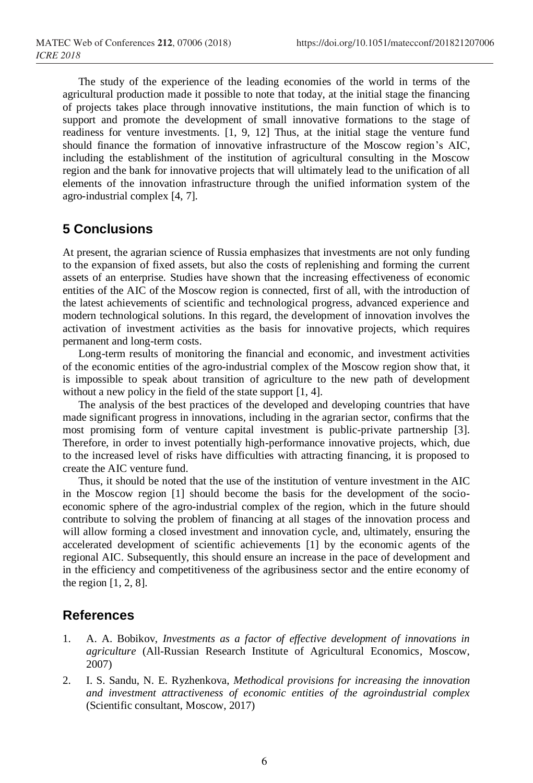The study of the experience of the leading economies of the world in terms of the agricultural production made it possible to note that today, at the initial stage the financing of projects takes place through innovative institutions, the main function of which is to support and promote the development of small innovative formations to the stage of readiness for venture investments. [1, 9, 12] Thus, at the initial stage the venture fund should finance the formation of innovative infrastructure of the Moscow region's AIC, including the establishment of the institution of agricultural consulting in the Moscow region and the bank for innovative projects that will ultimately lead to the unification of all elements of the innovation infrastructure through the unified information system of the agro-industrial complex [4, 7].

# **5 Conclusions**

At present, the agrarian science of Russia emphasizes that investments are not only funding to the expansion of fixed assets, but also the costs of replenishing and forming the current assets of an enterprise. Studies have shown that the increasing effectiveness of economic entities of the AIC of the Moscow region is connected, first of all, with the introduction of the latest achievements of scientific and technological progress, advanced experience and modern technological solutions. In this regard, the development of innovation involves the activation of investment activities as the basis for innovative projects, which requires permanent and long-term costs.

Long-term results of monitoring the financial and economic, and investment activities of the economic entities of the agro-industrial complex of the Moscow region show that, it is impossible to speak about transition of agriculture to the new path of development without a new policy in the field of the state support [1, 4].

The analysis of the best practices of the developed and developing countries that have made significant progress in innovations, including in the agrarian sector, confirms that the most promising form of venture capital investment is public-private partnership [3]. Therefore, in order to invest potentially high-performance innovative projects, which, due to the increased level of risks have difficulties with attracting financing, it is proposed to create the AIC venture fund.

Thus, it should be noted that the use of the institution of venture investment in the AIC in the Moscow region [1] should become the basis for the development of the socioeconomic sphere of the agro-industrial complex of the region, which in the future should contribute to solving the problem of financing at all stages of the innovation process and will allow forming a closed investment and innovation cycle, and, ultimately, ensuring the accelerated development of scientific achievements [1] by the economic agents of the regional AIC. Subsequently, this should ensure an increase in the pace of development and in the efficiency and competitiveness of the agribusiness sector and the entire economy of the region [1, 2, 8].

# **References**

- 1. A. A. Bobikov, *Investments as a factor of effective development of innovations in agriculture* (All-Russian Research Institute of Agricultural Economics, Moscow, 2007)
- 2. I. S. Sandu, N. E. Ryzhenkova, *Methodical provisions for increasing the innovation and investment attractiveness of economic entities of the agroindustrial complex* (Scientific consultant, Moscow, 2017)